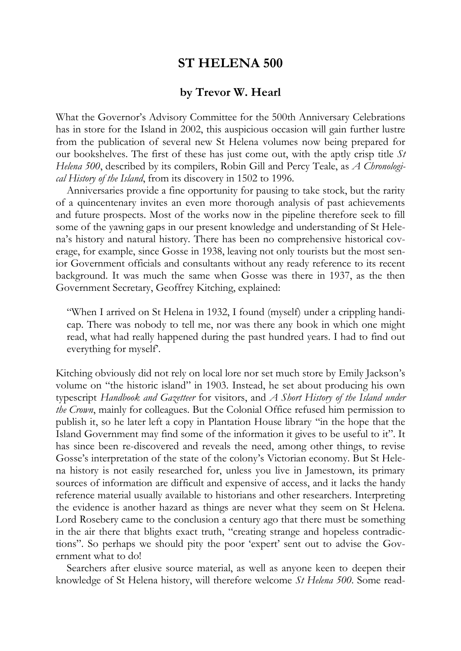## **ST HELENA 500**

## **by Trevor W. Hearl**

What the Governor's Advisory Committee for the 500th Anniversary Celebrations has in store for the Island in 2002, this auspicious occasion will gain further lustre from the publication of several new St Helena volumes now being prepared for our bookshelves. The first of these has just come out, with the aptly crisp title *St Helena 500*, described by its compilers, Robin Gill and Percy Teale, as *A Chronological History of the Island*, from its discovery in 1502 to 1996.

Anniversaries provide a fine opportunity for pausing to take stock, but the rarity of a quincentenary invites an even more thorough analysis of past achievements and future prospects. Most of the works now in the pipeline therefore seek to fill some of the yawning gaps in our present knowledge and understanding of St Helena's history and natural history. There has been no comprehensive historical coverage, for example, since Gosse in 1938, leaving not only tourists but the most senior Government officials and consultants without any ready reference to its recent background. It was much the same when Gosse was there in 1937, as the then Government Secretary, Geoffrey Kitching, explained:

"When I arrived on St Helena in 1932, I found (myself) under a crippling handicap. There was nobody to tell me, nor was there any book in which one might read, what had really happened during the past hundred years. I had to find out everything for myself'.

Kitching obviously did not rely on local lore nor set much store by Emily Jackson's volume on "the historic island" in 1903. Instead, he set about producing his own typescript *Handbook and Gazetteer* for visitors, and *A Short History of the Island under the Crown*, mainly for colleagues. But the Colonial Office refused him permission to publish it, so he later left a copy in Plantation House library "in the hope that the Island Government may find some of the information it gives to be useful to it". It has since been re-discovered and reveals the need, among other things, to revise Gosse's interpretation of the state of the colony's Victorian economy. But St Helena history is not easily researched for, unless you live in Jamestown, its primary sources of information are difficult and expensive of access, and it lacks the handy reference material usually available to historians and other researchers. Interpreting the evidence is another hazard as things are never what they seem on St Helena. Lord Rosebery came to the conclusion a century ago that there must be something in the air there that blights exact truth, "creating strange and hopeless contradictions". So perhaps we should pity the poor 'expert' sent out to advise the Government what to do!

Searchers after elusive source material, as well as anyone keen to deepen their knowledge of St Helena history, will therefore welcome *St Helena 500*. Some read-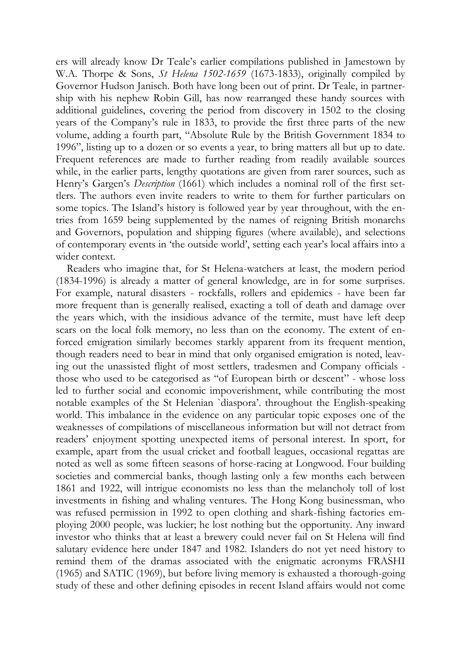ers will already know Dr Teale's earlier compilations published in Jamestown by W.A. Thorpe & Sons, *St Helena 1502-1659* (1673-1833), originally compiled by Governor Hudson Janisch. Both have long been out of print. Dr Teale, in partnership with his nephew Robin Gill, has now rearranged these handy sources with additional guidelines, covering the period from discovery in 1502 to the closing years of the Company's rule in 1833, to provide the first three parts of the new volume, adding a fourth part, "Absolute Rule by the British Government 1834 to 1996", listing up to a dozen or so events a year, to bring matters all but up to date. Frequent references are made to further reading from readily available sources while, in the earlier parts, lengthy quotations are given from rarer sources, such as Henry's Gargen's *Description* (1661) which includes a nominal roll of the first settlers. The authors even invite readers to write to them for further particulars on some topics. The Island's history is followed year by year throughout, with the entries from 1659 being supplemented by the names of reigning British monarchs and Governors, population and shipping figures (where available), and selections of contemporary events in 'the outside world', setting each year's local affairs into a wider context.

Readers who imagine that, for St Helena-watchers at least, the modern period (1834-1996) is already a matter of general knowledge, are in for some surprises. For example, natural disasters - rockfalls, rollers and epidemics - have been far more frequent than is generally realised, exacting a toll of death and damage over the years which, with the insidious advance of the termite, must have left deep scars on the local folk memory, no less than on the economy. The extent of enforced emigration similarly becomes starkly apparent from its frequent mention, though readers need to bear in mind that only organised emigration is noted, leaving out the unassisted flight of most settlers, tradesmen and Company officials those who used to be categorised as "of European birth or descent" - whose loss led to further social and economic impoverishment, while contributing the most notable examples of the St Helenian `diaspora'. throughout the English-speaking world. This imbalance in the evidence on any particular topic exposes one of the weaknesses of compilations of miscellaneous information but will not detract from readers' enjoyment spotting unexpected items of personal interest. In sport, for example, apart from the usual cricket and football leagues, occasional regattas are noted as well as some fifteen seasons of horse-racing at Longwood. Four building societies and commercial banks, though lasting only a few months each between 1861 and 1922, will intrigue economists no less than the melancholy toll of lost investments in fishing and whaling ventures. The Hong Kong businessman, who was refused permission in 1992 to open clothing and shark-fishing factories employing 2000 people, was luckier; he lost nothing but the opportunity. Any inward investor who thinks that at least a brewery could never fail on St Helena will find salutary evidence here under 1847 and 1982. Islanders do not yet need history to remind them of the dramas associated with the enigmatic acronyms FRASHI (1965) and SATIC (1969), but before living memory is exhausted a thorough-going study of these and other defining episodes in recent Island affairs would not come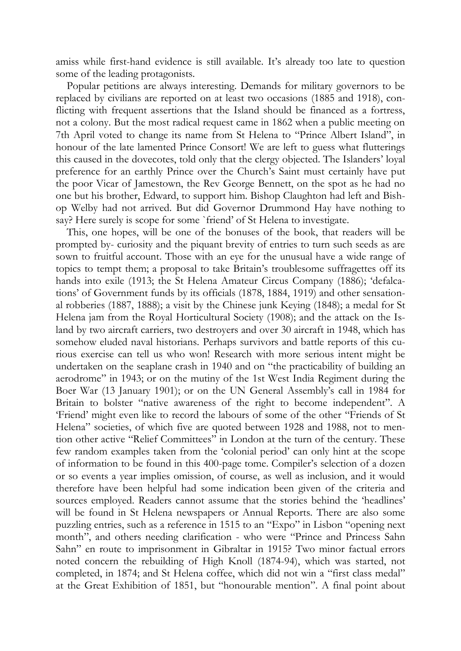amiss while first-hand evidence is still available. It's already too late to question some of the leading protagonists.

Popular petitions are always interesting. Demands for military governors to be replaced by civilians are reported on at least two occasions (1885 and 1918), conflicting with frequent assertions that the Island should be financed as a fortress, not a colony. But the most radical request came in 1862 when a public meeting on 7th April voted to change its name from St Helena to "Prince Albert Island", in honour of the late lamented Prince Consort! We are left to guess what flutterings this caused in the dovecotes, told only that the clergy objected. The Islanders' loyal preference for an earthly Prince over the Church's Saint must certainly have put the poor Vicar of Jamestown, the Rev George Bennett, on the spot as he had no one but his brother, Edward, to support him. Bishop Claughton had left and Bishop Welby had not arrived. But did Governor Drummond Hay have nothing to say? Here surely is scope for some `friend' of St Helena to investigate.

This, one hopes, will be one of the bonuses of the book, that readers will be prompted by- curiosity and the piquant brevity of entries to turn such seeds as are sown to fruitful account. Those with an eye for the unusual have a wide range of topics to tempt them; a proposal to take Britain's troublesome suffragettes off its hands into exile (1913; the St Helena Amateur Circus Company (1886); 'defalcations' of Government funds by its officials (1878, 1884, 1919) and other sensational robberies (1887, 1888); a visit by the Chinese junk Keying (1848); a medal for St Helena jam from the Royal Horticultural Society (1908); and the attack on the Island by two aircraft carriers, two destroyers and over 30 aircraft in 1948, which has somehow eluded naval historians. Perhaps survivors and battle reports of this curious exercise can tell us who won! Research with more serious intent might be undertaken on the seaplane crash in 1940 and on "the practicability of building an aerodrome" in 1943; or on the mutiny of the 1st West India Regiment during the Boer War (13 January 1901); or on the UN General Assembly's call in 1984 for Britain to bolster "native awareness of the right to become independent". A 'Friend' might even like to record the labours of some of the other "Friends of St Helena" societies, of which five are quoted between 1928 and 1988, not to mention other active "Relief Committees" in London at the turn of the century. These few random examples taken from the 'colonial period' can only hint at the scope of information to be found in this 400-page tome. Compiler's selection of a dozen or so events a year implies omission, of course, as well as inclusion, and it would therefore have been helpful had some indication been given of the criteria and sources employed. Readers cannot assume that the stories behind the 'headlines' will be found in St Helena newspapers or Annual Reports. There are also some puzzling entries, such as a reference in 1515 to an "Expo" in Lisbon "opening next month", and others needing clarification - who were "Prince and Princess Sahn Sahn" en route to imprisonment in Gibraltar in 1915? Two minor factual errors noted concern the rebuilding of High Knoll (1874-94), which was started, not completed, in 1874; and St Helena coffee, which did not win a "first class medal" at the Great Exhibition of 1851, but "honourable mention". A final point about